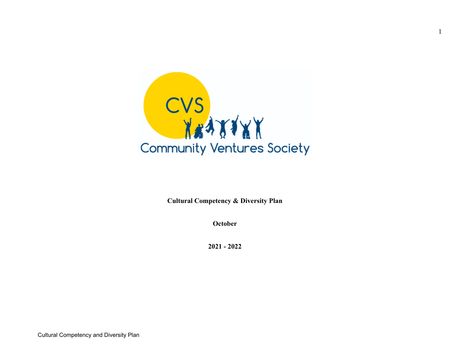

1

**Cultural Competency & Diversity Plan**

**October**

**2021 - 2022**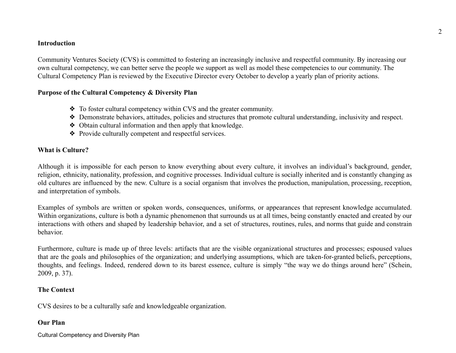#### **Introduction**

Community Ventures Society (CVS) is committed to fostering an increasingly inclusive and respectful community. By increasing our own cultural competency, we can better serve the people we support as well as model these competencies to our community. The Cultural Competency Plan is reviewed by the Executive Director every October to develop a yearly plan of priority actions.

### **Purpose of the Cultural Competency & Diversity Plan**

- ❖ To foster cultural competency within CVS and the greater community.
- ❖ Demonstrate behaviors, attitudes, policies and structures that promote cultural understanding, inclusivity and respect.
- ❖ Obtain cultural information and then apply that knowledge.
- ❖ Provide culturally competent and respectful services.

### **What is Culture?**

Although it is impossible for each person to know everything about every culture, it involves an individual's background, gender, religion, ethnicity, nationality, profession, and cognitive processes. Individual culture is socially inherited and is constantly changing as old cultures are influenced by the new. Culture is a social organism that involves the production, manipulation, processing, reception, and interpretation of symbols.

Examples of symbols are written or spoken words, consequences, uniforms, or appearances that represent knowledge accumulated. Within organizations, culture is both a dynamic phenomenon that surrounds us at all times, being constantly enacted and created by our interactions with others and shaped by leadership behavior, and a set of structures, routines, rules, and norms that guide and constrain behavior.

Furthermore, culture is made up of three levels: artifacts that are the visible organizational structures and processes; espoused values that are the goals and philosophies of the organization; and underlying assumptions, which are taken-for-granted beliefs, perceptions, thoughts, and feelings. Indeed, rendered down to its barest essence, culture is simply "the way we do things around here" (Schein, 2009, p. 37).

# **The Context**

CVS desires to be a culturally safe and knowledgeable organization.

# **Our Plan**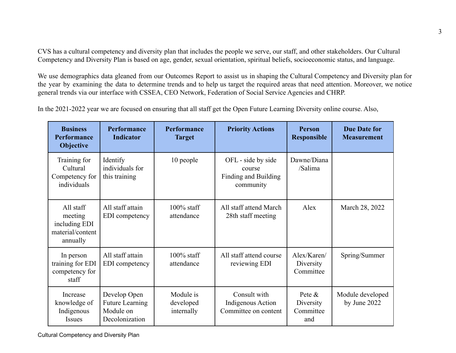CVS has a cultural competency and diversity plan that includes the people we serve, our staff, and other stakeholders. Our Cultural Competency and Diversity Plan is based on age, gender, sexual orientation, spiritual beliefs, socioeconomic status, and language.

We use demographics data gleaned from our Outcomes Report to assist us in shaping the Cultural Competency and Diversity plan for the year by examining the data to determine trends and to help us target the required areas that need attention. Moreover, we notice general trends via our interface with CSSEA, CEO Network, Federation of Social Service Agencies and CHRP.

In the 2021-2022 year we are focused on ensuring that all staff get the Open Future Learning Diversity online course. Also,

| <b>Business</b><br><b>Performance</b><br><b>Objective</b>             | Performance<br><b>Indicator</b>                                       | Performance<br><b>Target</b>         | <b>Priority Actions</b>                                           | <b>Person</b><br><b>Responsible</b>        | <b>Due Date for</b><br><b>Measurement</b> |
|-----------------------------------------------------------------------|-----------------------------------------------------------------------|--------------------------------------|-------------------------------------------------------------------|--------------------------------------------|-------------------------------------------|
| Training for<br>Cultural<br>Competency for<br>individuals             | Identify<br>individuals for<br>this training                          | 10 people                            | OFL - side by side<br>course<br>Finding and Building<br>community | Dawne/Diana<br>/Salima                     |                                           |
| All staff<br>meeting<br>including EDI<br>material/content<br>annually | All staff attain<br>EDI competency                                    | $100\%$ staff<br>attendance          | All staff attend March<br>28th staff meeting                      | Alex                                       | March 28, 2022                            |
| In person<br>training for EDI<br>competency for<br>staff              | All staff attain<br>EDI competency                                    | $100\%$ staff<br>attendance          | All staff attend course<br>reviewing EDI                          | Alex/Karen/<br>Diversity<br>Committee      | Spring/Summer                             |
| Increase<br>knowledge of<br>Indigenous<br><i>Issues</i>               | Develop Open<br><b>Future Learning</b><br>Module on<br>Decolonization | Module is<br>developed<br>internally | Consult with<br><b>Indigenous Action</b><br>Committee on content  | Pete $\&$<br>Diversity<br>Committee<br>and | Module developed<br>by June 2022          |